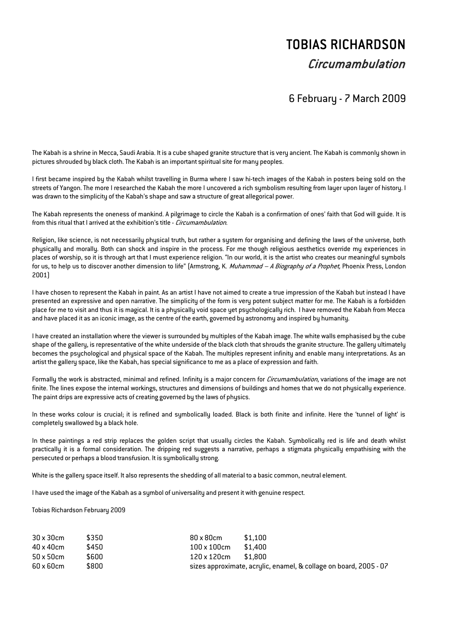## TOBIAS RICHARDSON

## Circumambulation

## 6 February - 7 March 2009

The Kabah is a shrine in Mecca, Saudi Arabia. It is a cube shaped granite structure that is very ancient. The Kabah is commonly shown in pictures shrouded by black cloth. The Kabah is an important spiritual site for many peoples.

I first became inspired by the Kabah whilst travelling in Burma where I saw hi-tech images of the Kabah in posters being sold on the streets of Yangon. The more I researched the Kabah the more I uncovered a rich symbolism resulting from layer upon layer of history. I was drawn to the simplicity of the Kabah's shape and saw a structure of great allegorical power.

The Kabah represents the oneness of mankind. A pilgrimage to circle the Kabah is a confirmation of ones' faith that God will guide. It is from this ritual that I arrived at the exhibition's title - *Circumambulation*.

Religion, like science, is not necessarily physical truth, but rather a system for organising and defining the laws of the universe, both physically and morally. Both can shock and inspire in the process. For me though religious aesthetics override my experiences in places of worship, so it is through art that I must experience religion. "In our world, it is the artist who creates our meaningful symbols for us, to help us to discover another dimension to life" (Armstrong, K. *Muhammad – A Biography of a Prophet*, Phoenix Press, London 2001)

I have chosen to represent the Kabah in paint. As an artist I have not aimed to create a true impression of the Kabah but instead I have presented an expressive and open narrative. The simplicity of the form is very potent subject matter for me. The Kabah is a forbidden place for me to visit and thus it is magical. It is a physically void space yet psychologically rich. I have removed the Kabah from Mecca and have placed it as an iconic image, as the centre of the earth, governed by astronomy and inspired by humanity.

I have created an installation where the viewer is surrounded by multiples of the Kabah image. The white walls emphasised by the cube shape of the gallery, is representative of the white underside of the black cloth that shrouds the granite structure. The gallery ultimately becomes the psychological and physical space of the Kabah. The multiples represent infinity and enable many interpretations. As an artist the gallery space, like the Kabah, has special significance to me as a place of expression and faith.

Formally the work is abstracted, minimal and refined. Infinity is a major concern for *Circumambulation*, variations of the image are not finite. The lines expose the internal workings, structures and dimensions of buildings and homes that we do not physically experience. The paint drips are expressive acts of creating governed by the laws of physics.

In these works colour is crucial; it is refined and symbolically loaded. Black is both finite and infinite. Here the 'tunnel of light' is completely swallowed by a black hole.

In these paintings a red strip replaces the golden script that usually circles the Kabah. Symbolically red is life and death whilst practically it is a formal consideration. The dripping red suggests a narrative, perhaps a stigmata physically empathising with the persecuted or perhaps a blood transfusion. It is symbolically strong.

White is the gallery space itself. It also represents the shedding of all material to a basic common, neutral element.

I have used the image of the Kabah as a symbol of universality and present it with genuine respect.

Tobias Richardson February 2009

| $30 \times 30$ cm | \$350 | \$1.100<br>80 x 80 cm                                             |
|-------------------|-------|-------------------------------------------------------------------|
| 40 x 40 cm        | \$450 | \$1.400<br>$100\times100$ cm                                      |
| $50 \times 50$ cm | \$600 | \$1.800<br>120 x 120 cm                                           |
| 60 x 60 cm        | \$800 | sizes approximate, acrylic, enamel, & collage on board, 2005 - 07 |